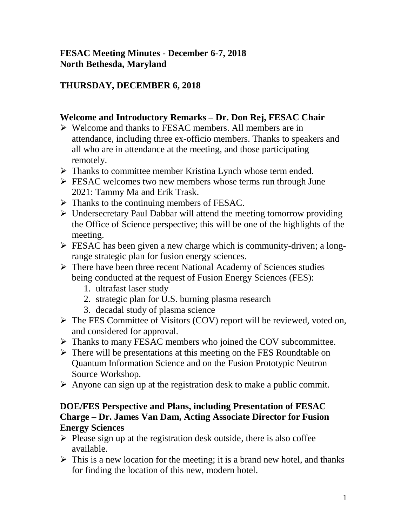### **FESAC Meeting Minutes - December 6-7, 2018 North Bethesda, Maryland**

# **THURSDAY, DECEMBER 6, 2018**

### **Welcome and Introductory Remarks – Dr. Don Rej, FESAC Chair**

- Welcome and thanks to FESAC members. All members are in attendance, including three ex-officio members. Thanks to speakers and all who are in attendance at the meeting, and those participating remotely.
- $\triangleright$  Thanks to committee member Kristina Lynch whose term ended.
- **FESAC** welcomes two new members whose terms run through June 2021: Tammy Ma and Erik Trask.
- $\triangleright$  Thanks to the continuing members of FESAC.
- $\triangleright$  Undersecretary Paul Dabbar will attend the meeting tomorrow providing the Office of Science perspective; this will be one of the highlights of the meeting.
- $\triangleright$  FESAC has been given a new charge which is community-driven; a longrange strategic plan for fusion energy sciences.
- $\triangleright$  There have been three recent National Academy of Sciences studies being conducted at the request of Fusion Energy Sciences (FES):
	- 1. ultrafast laser study
	- 2. strategic plan for U.S. burning plasma research
	- 3. decadal study of plasma science
- $\triangleright$  The FES Committee of Visitors (COV) report will be reviewed, voted on, and considered for approval.
- > Thanks to many FESAC members who joined the COV subcommittee.
- $\triangleright$  There will be presentations at this meeting on the FES Roundtable on Quantum Information Science and on the Fusion Prototypic Neutron Source Workshop.
- $\triangleright$  Anyone can sign up at the registration desk to make a public commit.

#### **DOE/FES Perspective and Plans, including Presentation of FESAC Charge – Dr. James Van Dam, Acting Associate Director for Fusion Energy Sciences**

- $\triangleright$  Please sign up at the registration desk outside, there is also coffee available.
- $\triangleright$  This is a new location for the meeting; it is a brand new hotel, and thanks for finding the location of this new, modern hotel.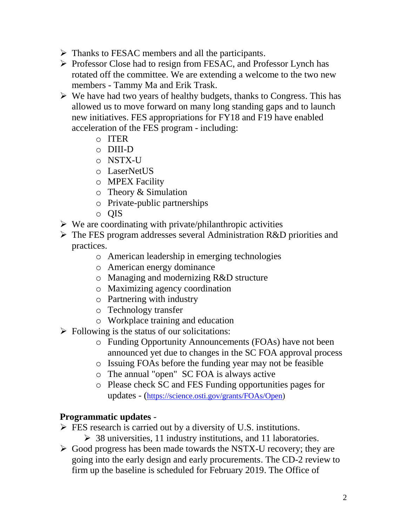- $\triangleright$  Thanks to FESAC members and all the participants.
- Professor Close had to resign from FESAC, and Professor Lynch has rotated off the committee. We are extending a welcome to the two new members - Tammy Ma and Erik Trask.
- $\triangleright$  We have had two years of healthy budgets, thanks to Congress. This has allowed us to move forward on many long standing gaps and to launch new initiatives. FES appropriations for FY18 and F19 have enabled acceleration of the FES program - including:
	- o ITER
	- o DIII-D
	- o NSTX-U
	- o LaserNetUS
	- o MPEX Facility
	- o Theory & Simulation
	- o Private-public partnerships
	- o QIS
- $\triangleright$  We are coordinating with private/philanthropic activities
- $\triangleright$  The FES program addresses several Administration R&D priorities and practices.
	- o American leadership in emerging technologies
	- o American energy dominance
	- o Managing and modernizing R&D structure
	- o Maximizing agency coordination
	- o Partnering with industry
	- o Technology transfer
	- o Workplace training and education
- $\triangleright$  Following is the status of our solicitations:
	- o Funding Opportunity Announcements (FOAs) have not been announced yet due to changes in the SC FOA approval process
	- o Issuing FOAs before the funding year may not be feasible
	- o The annual "open" SC FOA is always active
	- o Please check SC and FES Funding opportunities pages for updates - ([https://science.osti.gov/grants/FOAs/Open\)](https://science.osti.gov/grants/FOAs/Open)

#### **Programmatic updates** -

- $\triangleright$  FES research is carried out by a diversity of U.S. institutions.
	- $\geq$  38 universities, 11 industry institutions, and 11 laboratories.
- $\triangleright$  Good progress has been made towards the NSTX-U recovery; they are going into the early design and early procurements. The CD-2 review to firm up the baseline is scheduled for February 2019. The Office of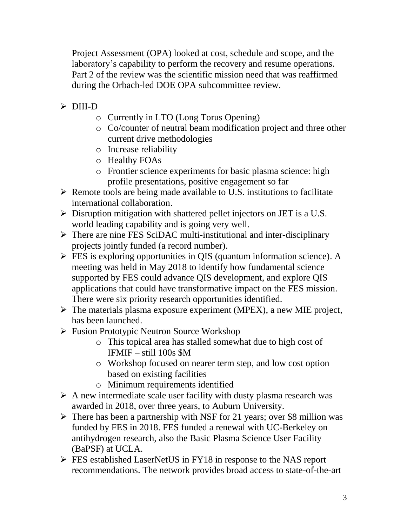Project Assessment (OPA) looked at cost, schedule and scope, and the laboratory's capability to perform the recovery and resume operations. Part 2 of the review was the scientific mission need that was reaffirmed during the Orbach-led DOE OPA subcommittee review.

- DIII-D
	- o Currently in LTO (Long Torus Opening)
	- o Co/counter of neutral beam modification project and three other current drive methodologies
	- o Increase reliability
	- o Healthy FOAs
	- o Frontier science experiments for basic plasma science: high profile presentations, positive engagement so far
- $\triangleright$  Remote tools are being made available to U.S. institutions to facilitate international collaboration.
- $\triangleright$  Disruption mitigation with shattered pellet injectors on JET is a U.S. world leading capability and is going very well.
- $\triangleright$  There are nine FES SciDAC multi-institutional and inter-disciplinary projects jointly funded (a record number).
- $\triangleright$  FES is exploring opportunities in QIS (quantum information science). A meeting was held in May 2018 to identify how fundamental science supported by FES could advance QIS development, and explore QIS applications that could have transformative impact on the FES mission. There were six priority research opportunities identified.
- $\triangleright$  The materials plasma exposure experiment (MPEX), a new MIE project, has been launched.
- Fusion Prototypic Neutron Source Workshop
	- o This topical area has stalled somewhat due to high cost of IFMIF – still 100s \$M
	- o Workshop focused on nearer term step, and low cost option based on existing facilities
	- o Minimum requirements identified
- $\triangleright$  A new intermediate scale user facility with dusty plasma research was awarded in 2018, over three years, to Auburn University.
- $\triangleright$  There has been a partnership with NSF for 21 years; over \$8 million was funded by FES in 2018. FES funded a renewal with UC-Berkeley on antihydrogen research, also the Basic Plasma Science User Facility (BaPSF) at UCLA.
- FES established LaserNetUS in FY18 in response to the NAS report recommendations. The network provides broad access to state-of-the-art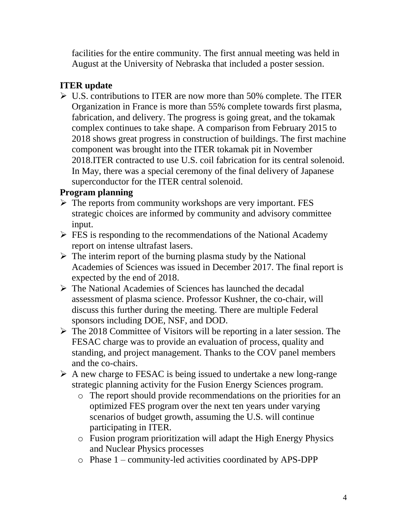facilities for the entire community. The first annual meeting was held in August at the University of Nebraska that included a poster session.

# **ITER update**

 U.S. contributions to ITER are now more than 50% complete. The ITER Organization in France is more than 55% complete towards first plasma, fabrication, and delivery. The progress is going great, and the tokamak complex continues to take shape. A comparison from February 2015 to 2018 shows great progress in construction of buildings. The first machine component was brought into the ITER tokamak pit in November 2018.ITER contracted to use U.S. coil fabrication for its central solenoid. In May, there was a special ceremony of the final delivery of Japanese superconductor for the ITER central solenoid.

# **Program planning**

- $\triangleright$  The reports from community workshops are very important. FES strategic choices are informed by community and advisory committee input.
- $\triangleright$  FES is responding to the recommendations of the National Academy report on intense ultrafast lasers.
- $\triangleright$  The interim report of the burning plasma study by the National Academies of Sciences was issued in December 2017. The final report is expected by the end of 2018.
- The National Academies of Sciences has launched the decadal assessment of plasma science. Professor Kushner, the co-chair, will discuss this further during the meeting. There are multiple Federal sponsors including DOE, NSF, and DOD.
- $\triangleright$  The 2018 Committee of Visitors will be reporting in a later session. The FESAC charge was to provide an evaluation of process, quality and standing, and project management. Thanks to the COV panel members and the co-chairs.
- $\triangleright$  A new charge to FESAC is being issued to undertake a new long-range strategic planning activity for the Fusion Energy Sciences program.
	- o The report should provide recommendations on the priorities for an optimized FES program over the next ten years under varying scenarios of budget growth, assuming the U.S. will continue participating in ITER.
	- o Fusion program prioritization will adapt the High Energy Physics and Nuclear Physics processes
	- o Phase 1 community-led activities coordinated by APS-DPP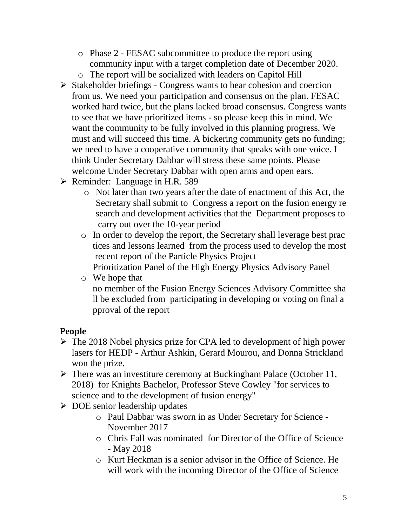- o Phase 2 FESAC subcommittee to produce the report using community input with a target completion date of December 2020.
- o The report will be socialized with leaders on Capitol Hill
- $\triangleright$  Stakeholder briefings Congress wants to hear cohesion and coercion from us. We need your participation and consensus on the plan. FESAC worked hard twice, but the plans lacked broad consensus. Congress wants to see that we have prioritized items - so please keep this in mind. We want the community to be fully involved in this planning progress. We must and will succeed this time. A bickering community gets no funding; we need to have a cooperative community that speaks with one voice. I think Under Secretary Dabbar will stress these same points. Please welcome Under Secretary Dabbar with open arms and open ears.
- $\triangleright$  Reminder: Language in H.R. 589
	- o Not later than two years after the date of enactment of this Act, the Secretary shall submit to Congress a report on the fusion energy re search and development activities that the Department proposes to carry out over the 10-year period
	- o In order to develop the report, the Secretary shall leverage best prac tices and lessons learned from the process used to develop the most recent report of the Particle Physics Project
		- Prioritization Panel of the High Energy Physics Advisory Panel
	- o We hope that no member of the Fusion Energy Sciences Advisory Committee sha ll be excluded from participating in developing or voting on final a pproval of the report

# **People**

- $\triangleright$  The 2018 Nobel physics prize for CPA led to development of high power lasers for HEDP - Arthur Ashkin, Gerard Mourou, and Donna Strickland won the prize.
- $\triangleright$  There was an investiture ceremony at Buckingham Palace (October 11, 2018) for Knights Bachelor, Professor Steve Cowley "for services to science and to the development of fusion energy"
- $\triangleright$  DOE senior leadership updates
	- o Paul Dabbar was sworn in as Under Secretary for Science November 2017
	- o Chris Fall was nominated for Director of the Office of Science - May 2018
	- o Kurt Heckman is a senior advisor in the Office of Science. He will work with the incoming Director of the Office of Science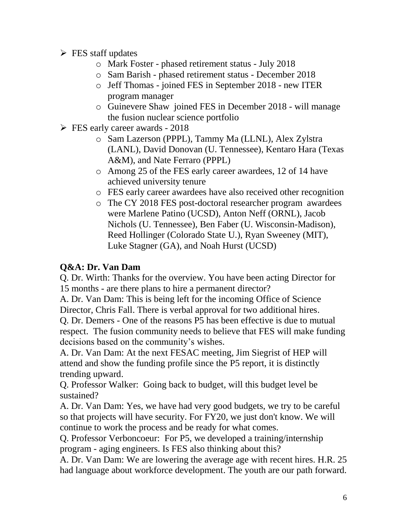- $\triangleright$  FES staff updates
	- o Mark Foster phased retirement status July 2018
	- o Sam Barish phased retirement status December 2018
	- o Jeff Thomas joined FES in September 2018 new ITER program manager
	- o Guinevere Shaw joined FES in December 2018 will manage the fusion nuclear science portfolio
- $\triangleright$  FES early career awards 2018
	- o Sam Lazerson (PPPL), Tammy Ma (LLNL), Alex Zylstra (LANL), David Donovan (U. Tennessee), Kentaro Hara (Texas A&M), and Nate Ferraro (PPPL)
	- o Among 25 of the FES early career awardees, 12 of 14 have achieved university tenure
	- o FES early career awardees have also received other recognition
	- o The CY 2018 FES post-doctoral researcher program awardees were Marlene Patino (UCSD), Anton Neff (ORNL), Jacob Nichols (U. Tennessee), Ben Faber (U. Wisconsin-Madison), Reed Hollinger (Colorado State U.), Ryan Sweeney (MIT), Luke Stagner (GA), and Noah Hurst (UCSD)

### **Q&A: Dr. Van Dam**

Q. Dr. Wirth: Thanks for the overview. You have been acting Director for 15 months - are there plans to hire a permanent director?

A. Dr. Van Dam: This is being left for the incoming Office of Science Director, Chris Fall. There is verbal approval for two additional hires.

Q. Dr. Demers - One of the reasons P5 has been effective is due to mutual respect. The fusion community needs to believe that FES will make funding decisions based on the community's wishes.

A. Dr. Van Dam: At the next FESAC meeting, Jim Siegrist of HEP will attend and show the funding profile since the P5 report, it is distinctly trending upward.

Q. Professor Walker: Going back to budget, will this budget level be sustained?

A. Dr. Van Dam: Yes, we have had very good budgets, we try to be careful so that projects will have security. For FY20, we just don't know. We will continue to work the process and be ready for what comes.

Q. Professor Verboncoeur: For P5, we developed a training/internship program - aging engineers. Is FES also thinking about this?

A. Dr. Van Dam: We are lowering the average age with recent hires. H.R. 25 had language about workforce development. The youth are our path forward.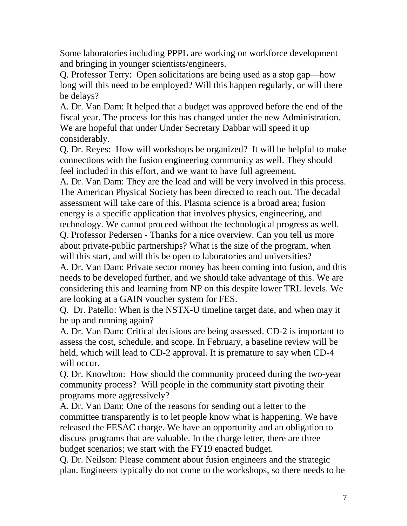Some laboratories including PPPL are working on workforce development and bringing in younger scientists/engineers.

Q. Professor Terry: Open solicitations are being used as a stop gap—how long will this need to be employed? Will this happen regularly, or will there be delays?

A. Dr. Van Dam: It helped that a budget was approved before the end of the fiscal year. The process for this has changed under the new Administration. We are hopeful that under Under Secretary Dabbar will speed it up considerably.

Q. Dr. Reyes: How will workshops be organized? It will be helpful to make connections with the fusion engineering community as well. They should feel included in this effort, and we want to have full agreement.

A. Dr. Van Dam: They are the lead and will be very involved in this process. The American Physical Society has been directed to reach out. The decadal assessment will take care of this. Plasma science is a broad area; fusion energy is a specific application that involves physics, engineering, and technology. We cannot proceed without the technological progress as well. Q. Professor Pedersen - Thanks for a nice overview. Can you tell us more about private-public partnerships? What is the size of the program, when will this start, and will this be open to laboratories and universities?

A. Dr. Van Dam: Private sector money has been coming into fusion, and this needs to be developed further, and we should take advantage of this. We are considering this and learning from NP on this despite lower TRL levels. We are looking at a GAIN voucher system for FES.

Q. Dr. Patello: When is the NSTX-U timeline target date, and when may it be up and running again?

A. Dr. Van Dam: Critical decisions are being assessed. CD-2 is important to assess the cost, schedule, and scope. In February, a baseline review will be held, which will lead to CD-2 approval. It is premature to say when CD-4 will occur.

Q. Dr. Knowlton: How should the community proceed during the two-year community process? Will people in the community start pivoting their programs more aggressively?

A. Dr. Van Dam: One of the reasons for sending out a letter to the committee transparently is to let people know what is happening. We have released the FESAC charge. We have an opportunity and an obligation to discuss programs that are valuable. In the charge letter, there are three budget scenarios; we start with the FY19 enacted budget.

Q. Dr. Neilson: Please comment about fusion engineers and the strategic plan. Engineers typically do not come to the workshops, so there needs to be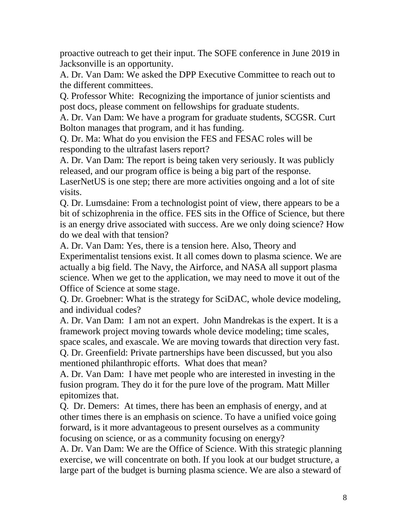proactive outreach to get their input. The SOFE conference in June 2019 in Jacksonville is an opportunity.

A. Dr. Van Dam: We asked the DPP Executive Committee to reach out to the different committees.

Q. Professor White: Recognizing the importance of junior scientists and post docs, please comment on fellowships for graduate students.

A. Dr. Van Dam: We have a program for graduate students, SCGSR. Curt Bolton manages that program, and it has funding.

Q. Dr. Ma: What do you envision the FES and FESAC roles will be responding to the ultrafast lasers report?

A. Dr. Van Dam: The report is being taken very seriously. It was publicly released, and our program office is being a big part of the response.

LaserNetUS is one step; there are more activities ongoing and a lot of site visits.

Q. Dr. Lumsdaine: From a technologist point of view, there appears to be a bit of schizophrenia in the office. FES sits in the Office of Science, but there is an energy drive associated with success. Are we only doing science? How do we deal with that tension?

A. Dr. Van Dam: Yes, there is a tension here. Also, Theory and Experimentalist tensions exist. It all comes down to plasma science. We are actually a big field. The Navy, the Airforce, and NASA all support plasma science. When we get to the application, we may need to move it out of the Office of Science at some stage.

Q. Dr. Groebner: What is the strategy for SciDAC, whole device modeling, and individual codes?

A. Dr. Van Dam: I am not an expert. John Mandrekas is the expert. It is a framework project moving towards whole device modeling; time scales, space scales, and exascale. We are moving towards that direction very fast. Q. Dr. Greenfield: Private partnerships have been discussed, but you also mentioned philanthropic efforts. What does that mean?

A. Dr. Van Dam: I have met people who are interested in investing in the fusion program. They do it for the pure love of the program. Matt Miller epitomizes that.

Q. Dr. Demers: At times, there has been an emphasis of energy, and at other times there is an emphasis on science. To have a unified voice going forward, is it more advantageous to present ourselves as a community focusing on science, or as a community focusing on energy?

A. Dr. Van Dam: We are the Office of Science. With this strategic planning exercise, we will concentrate on both. If you look at our budget structure, a large part of the budget is burning plasma science. We are also a steward of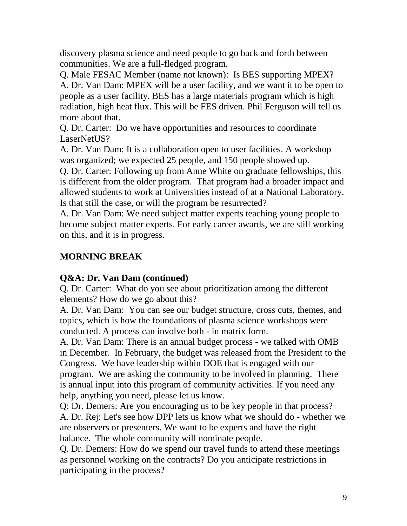discovery plasma science and need people to go back and forth between communities. We are a full-fledged program.

Q. Male FESAC Member (name not known): Is BES supporting MPEX? A. Dr. Van Dam: MPEX will be a user facility, and we want it to be open to people as a user facility. BES has a large materials program which is high radiation, high heat flux. This will be FES driven. Phil Ferguson will tell us more about that.

Q. Dr. Carter: Do we have opportunities and resources to coordinate LaserNetUS?

A. Dr. Van Dam: It is a collaboration open to user facilities. A workshop was organized; we expected 25 people, and 150 people showed up.

Q. Dr. Carter: Following up from Anne White on graduate fellowships, this is different from the older program. That program had a broader impact and allowed students to work at Universities instead of at a National Laboratory. Is that still the case, or will the program be resurrected?

A. Dr. Van Dam: We need subject matter experts teaching young people to become subject matter experts. For early career awards, we are still working on this, and it is in progress.

# **MORNING BREAK**

# **Q&A: Dr. Van Dam (continued)**

Q. Dr. Carter: What do you see about prioritization among the different elements? How do we go about this?

A. Dr. Van Dam: You can see our budget structure, cross cuts, themes, and topics, which is how the foundations of plasma science workshops were conducted. A process can involve both - in matrix form.

A. Dr. Van Dam: There is an annual budget process - we talked with OMB in December. In February, the budget was released from the President to the Congress. We have leadership within DOE that is engaged with our program. We are asking the community to be involved in planning. There is annual input into this program of community activities. If you need any help, anything you need, please let us know.

Q: Dr. Demers: Are you encouraging us to be key people in that process? A. Dr. Rej: Let's see how DPP lets us know what we should do - whether we are observers or presenters. We want to be experts and have the right balance. The whole community will nominate people.

Q. Dr. Demers: How do we spend our travel funds to attend these meetings as personnel working on the contracts? Do you anticipate restrictions in participating in the process?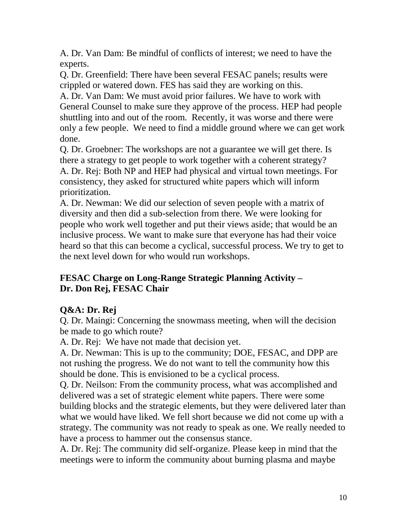A. Dr. Van Dam: Be mindful of conflicts of interest; we need to have the experts.

Q. Dr. Greenfield: There have been several FESAC panels; results were crippled or watered down. FES has said they are working on this.

A. Dr. Van Dam: We must avoid prior failures. We have to work with General Counsel to make sure they approve of the process. HEP had people shuttling into and out of the room. Recently, it was worse and there were only a few people. We need to find a middle ground where we can get work done.

Q. Dr. Groebner: The workshops are not a guarantee we will get there. Is there a strategy to get people to work together with a coherent strategy? A. Dr. Rej: Both NP and HEP had physical and virtual town meetings. For consistency, they asked for structured white papers which will inform prioritization.

A. Dr. Newman: We did our selection of seven people with a matrix of diversity and then did a sub-selection from there. We were looking for people who work well together and put their views aside; that would be an inclusive process. We want to make sure that everyone has had their voice heard so that this can become a cyclical, successful process. We try to get to the next level down for who would run workshops.

### **FESAC Charge on Long-Range Strategic Planning Activity – Dr. Don Rej, FESAC Chair**

# **Q&A: Dr. Rej**

Q. Dr. Maingi: Concerning the snowmass meeting, when will the decision be made to go which route?

A. Dr. Rej: We have not made that decision yet.

A. Dr. Newman: This is up to the community; DOE, FESAC, and DPP are not rushing the progress. We do not want to tell the community how this should be done. This is envisioned to be a cyclical process.

Q. Dr. Neilson: From the community process, what was accomplished and delivered was a set of strategic element white papers. There were some building blocks and the strategic elements, but they were delivered later than what we would have liked. We fell short because we did not come up with a strategy. The community was not ready to speak as one. We really needed to have a process to hammer out the consensus stance.

A. Dr. Rej: The community did self-organize. Please keep in mind that the meetings were to inform the community about burning plasma and maybe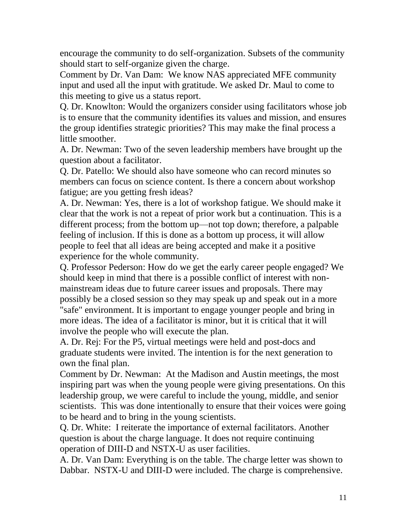encourage the community to do self-organization. Subsets of the community should start to self-organize given the charge.

Comment by Dr. Van Dam: We know NAS appreciated MFE community input and used all the input with gratitude. We asked Dr. Maul to come to this meeting to give us a status report.

Q. Dr. Knowlton: Would the organizers consider using facilitators whose job is to ensure that the community identifies its values and mission, and ensures the group identifies strategic priorities? This may make the final process a little smoother.

A. Dr. Newman: Two of the seven leadership members have brought up the question about a facilitator.

Q. Dr. Patello: We should also have someone who can record minutes so members can focus on science content. Is there a concern about workshop fatigue; are you getting fresh ideas?

A. Dr. Newman: Yes, there is a lot of workshop fatigue. We should make it clear that the work is not a repeat of prior work but a continuation. This is a different process; from the bottom up—not top down; therefore, a palpable feeling of inclusion. If this is done as a bottom up process, it will allow people to feel that all ideas are being accepted and make it a positive experience for the whole community.

Q. Professor Pederson: How do we get the early career people engaged? We should keep in mind that there is a possible conflict of interest with nonmainstream ideas due to future career issues and proposals. There may possibly be a closed session so they may speak up and speak out in a more "safe" environment. It is important to engage younger people and bring in more ideas. The idea of a facilitator is minor, but it is critical that it will involve the people who will execute the plan.

A. Dr. Rej: For the P5, virtual meetings were held and post-docs and graduate students were invited. The intention is for the next generation to own the final plan.

Comment by Dr. Newman: At the Madison and Austin meetings, the most inspiring part was when the young people were giving presentations. On this leadership group, we were careful to include the young, middle, and senior scientists. This was done intentionally to ensure that their voices were going to be heard and to bring in the young scientists.

Q. Dr. White: I reiterate the importance of external facilitators. Another question is about the charge language. It does not require continuing operation of DIII-D and NSTX-U as user facilities.

A. Dr. Van Dam: Everything is on the table. The charge letter was shown to Dabbar. NSTX-U and DIII-D were included. The charge is comprehensive.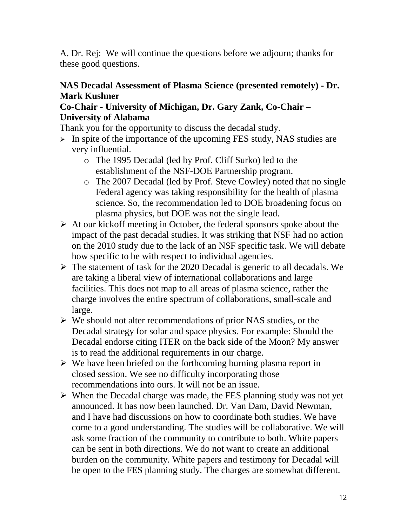A. Dr. Rej: We will continue the questions before we adjourn; thanks for these good questions.

### **NAS Decadal Assessment of Plasma Science (presented remotely) - Dr. Mark Kushner**

#### **Co-Chair - University of Michigan, Dr. Gary Zank, Co-Chair – University of Alabama**

Thank you for the opportunity to discuss the decadal study.

- $\triangleright$  In spite of the importance of the upcoming FES study, NAS studies are very influential.
	- o The 1995 Decadal (led by Prof. Cliff Surko) led to the establishment of the NSF-DOE Partnership program.
	- o The 2007 Decadal (led by Prof. Steve Cowley) noted that no single Federal agency was taking responsibility for the health of plasma science. So, the recommendation led to DOE broadening focus on plasma physics, but DOE was not the single lead.
- $\triangleright$  At our kickoff meeting in October, the federal sponsors spoke about the impact of the past decadal studies. It was striking that NSF had no action on the 2010 study due to the lack of an NSF specific task. We will debate how specific to be with respect to individual agencies.
- $\triangleright$  The statement of task for the 2020 Decadal is generic to all decadals. We are taking a liberal view of international collaborations and large facilities. This does not map to all areas of plasma science, rather the charge involves the entire spectrum of collaborations, small-scale and large.
- We should not alter recommendations of prior NAS studies, or the Decadal strategy for solar and space physics. For example: Should the Decadal endorse citing ITER on the back side of the Moon? My answer is to read the additional requirements in our charge.
- $\triangleright$  We have been briefed on the forthcoming burning plasma report in closed session. We see no difficulty incorporating those recommendations into ours. It will not be an issue.
- $\triangleright$  When the Decadal charge was made, the FES planning study was not yet announced. It has now been launched. Dr. Van Dam, David Newman, and I have had discussions on how to coordinate both studies. We have come to a good understanding. The studies will be collaborative. We will ask some fraction of the community to contribute to both. White papers can be sent in both directions. We do not want to create an additional burden on the community. White papers and testimony for Decadal will be open to the FES planning study. The charges are somewhat different.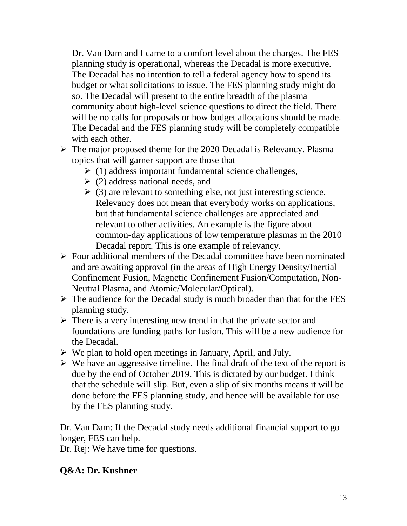Dr. Van Dam and I came to a comfort level about the charges. The FES planning study is operational, whereas the Decadal is more executive. The Decadal has no intention to tell a federal agency how to spend its budget or what solicitations to issue. The FES planning study might do so. The Decadal will present to the entire breadth of the plasma community about high-level science questions to direct the field. There will be no calls for proposals or how budget allocations should be made. The Decadal and the FES planning study will be completely compatible with each other.

- $\triangleright$  The major proposed theme for the 2020 Decadal is Relevancy. Plasma topics that will garner support are those that
	- $\triangleright$  (1) address important fundamental science challenges,
	- $\geq$  (2) address national needs, and
	- $\geq$  (3) are relevant to something else, not just interesting science. Relevancy does not mean that everybody works on applications, but that fundamental science challenges are appreciated and relevant to other activities. An example is the figure about common-day applications of low temperature plasmas in the 2010 Decadal report. This is one example of relevancy.
- $\triangleright$  Four additional members of the Decadal committee have been nominated and are awaiting approval (in the areas of High Energy Density/Inertial Confinement Fusion, Magnetic Confinement Fusion/Computation, Non-Neutral Plasma, and Atomic/Molecular/Optical).
- $\triangleright$  The audience for the Decadal study is much broader than that for the FES planning study.
- $\triangleright$  There is a very interesting new trend in that the private sector and foundations are funding paths for fusion. This will be a new audience for the Decadal.
- $\triangleright$  We plan to hold open meetings in January, April, and July.
- $\triangleright$  We have an aggressive timeline. The final draft of the text of the report is due by the end of October 2019. This is dictated by our budget. I think that the schedule will slip. But, even a slip of six months means it will be done before the FES planning study, and hence will be available for use by the FES planning study.

Dr. Van Dam: If the Decadal study needs additional financial support to go longer, FES can help.

Dr. Rej: We have time for questions.

# **Q&A: Dr. Kushner**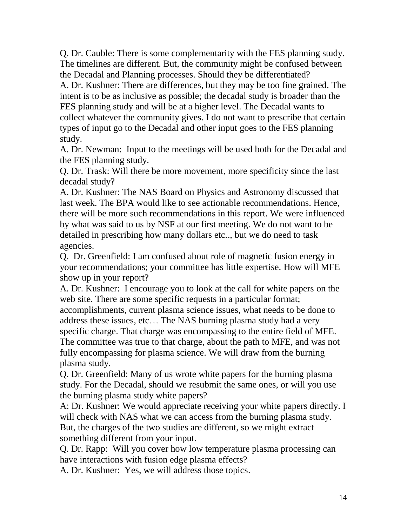Q. Dr. Cauble: There is some complementarity with the FES planning study. The timelines are different. But, the community might be confused between the Decadal and Planning processes. Should they be differentiated?

A. Dr. Kushner: There are differences, but they may be too fine grained. The intent is to be as inclusive as possible; the decadal study is broader than the FES planning study and will be at a higher level. The Decadal wants to collect whatever the community gives. I do not want to prescribe that certain types of input go to the Decadal and other input goes to the FES planning study.

A. Dr. Newman: Input to the meetings will be used both for the Decadal and the FES planning study.

Q. Dr. Trask: Will there be more movement, more specificity since the last decadal study?

A. Dr. Kushner: The NAS Board on Physics and Astronomy discussed that last week. The BPA would like to see actionable recommendations. Hence, there will be more such recommendations in this report. We were influenced by what was said to us by NSF at our first meeting. We do not want to be detailed in prescribing how many dollars etc.., but we do need to task agencies.

Q. Dr. Greenfield: I am confused about role of magnetic fusion energy in your recommendations; your committee has little expertise. How will MFE show up in your report?

A. Dr. Kushner: I encourage you to look at the call for white papers on the web site. There are some specific requests in a particular format; accomplishments, current plasma science issues, what needs to be done to address these issues, etc… The NAS burning plasma study had a very specific charge. That charge was encompassing to the entire field of MFE. The committee was true to that charge, about the path to MFE, and was not fully encompassing for plasma science. We will draw from the burning plasma study.

Q. Dr. Greenfield: Many of us wrote white papers for the burning plasma study. For the Decadal, should we resubmit the same ones, or will you use the burning plasma study white papers?

A: Dr. Kushner: We would appreciate receiving your white papers directly. I will check with NAS what we can access from the burning plasma study. But, the charges of the two studies are different, so we might extract something different from your input.

Q. Dr. Rapp: Will you cover how low temperature plasma processing can have interactions with fusion edge plasma effects?

A. Dr. Kushner: Yes, we will address those topics.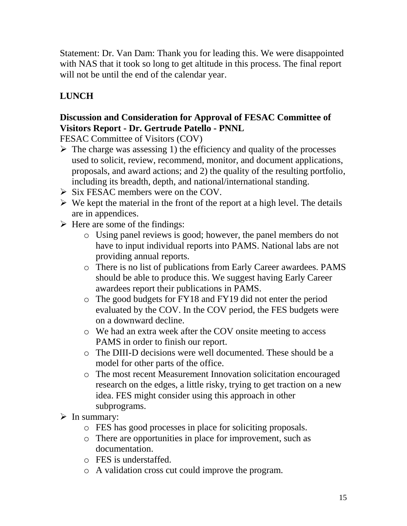Statement: Dr. Van Dam: Thank you for leading this. We were disappointed with NAS that it took so long to get altitude in this process. The final report will not be until the end of the calendar year.

# **LUNCH**

# **Discussion and Consideration for Approval of FESAC Committee of Visitors Report - Dr. Gertrude Patello - PNNL**

FESAC Committee of Visitors (COV)

- $\triangleright$  The charge was assessing 1) the efficiency and quality of the processes used to solicit, review, recommend, monitor, and document applications, proposals, and award actions; and 2) the quality of the resulting portfolio, including its breadth, depth, and national/international standing.
- $\triangleright$  Six FESAC members were on the COV.
- $\triangleright$  We kept the material in the front of the report at a high level. The details are in appendices.
- $\triangleright$  Here are some of the findings:
	- o Using panel reviews is good; however, the panel members do not have to input individual reports into PAMS. National labs are not providing annual reports.
	- o There is no list of publications from Early Career awardees. PAMS should be able to produce this. We suggest having Early Career awardees report their publications in PAMS.
	- o The good budgets for FY18 and FY19 did not enter the period evaluated by the COV. In the COV period, the FES budgets were on a downward decline.
	- o We had an extra week after the COV onsite meeting to access PAMS in order to finish our report.
	- o The DIII-D decisions were well documented. These should be a model for other parts of the office.
	- o The most recent Measurement Innovation solicitation encouraged research on the edges, a little risky, trying to get traction on a new idea. FES might consider using this approach in other subprograms.
- $\triangleright$  In summary:
	- o FES has good processes in place for soliciting proposals.
	- o There are opportunities in place for improvement, such as documentation.
	- o FES is understaffed.
	- o A validation cross cut could improve the program.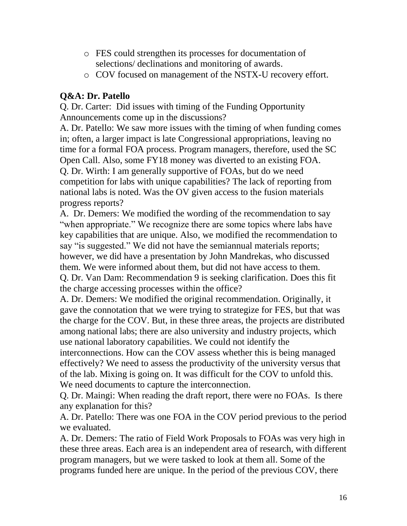- o FES could strengthen its processes for documentation of selections/ declinations and monitoring of awards.
- o COV focused on management of the NSTX-U recovery effort.

# **Q&A: Dr. Patello**

Q. Dr. Carter: Did issues with timing of the Funding Opportunity Announcements come up in the discussions?

A. Dr. Patello: We saw more issues with the timing of when funding comes in; often, a larger impact is late Congressional appropriations, leaving no time for a formal FOA process. Program managers, therefore, used the SC Open Call. Also, some FY18 money was diverted to an existing FOA. Q. Dr. Wirth: I am generally supportive of FOAs, but do we need competition for labs with unique capabilities? The lack of reporting from national labs is noted. Was the OV given access to the fusion materials progress reports?

A. Dr. Demers: We modified the wording of the recommendation to say "when appropriate." We recognize there are some topics where labs have key capabilities that are unique. Also, we modified the recommendation to say "is suggested." We did not have the semiannual materials reports; however, we did have a presentation by John Mandrekas, who discussed them. We were informed about them, but did not have access to them. Q. Dr. Van Dam: Recommendation 9 is seeking clarification. Does this fit the charge accessing processes within the office?

A. Dr. Demers: We modified the original recommendation. Originally, it gave the connotation that we were trying to strategize for FES, but that was the charge for the COV. But, in these three areas, the projects are distributed among national labs; there are also university and industry projects, which use national laboratory capabilities. We could not identify the interconnections. How can the COV assess whether this is being managed effectively? We need to assess the productivity of the university versus that of the lab. Mixing is going on. It was difficult for the COV to unfold this. We need documents to capture the interconnection.

Q. Dr. Maingi: When reading the draft report, there were no FOAs. Is there any explanation for this?

A. Dr. Patello: There was one FOA in the COV period previous to the period we evaluated.

A. Dr. Demers: The ratio of Field Work Proposals to FOAs was very high in these three areas. Each area is an independent area of research, with different program managers, but we were tasked to look at them all. Some of the programs funded here are unique. In the period of the previous COV, there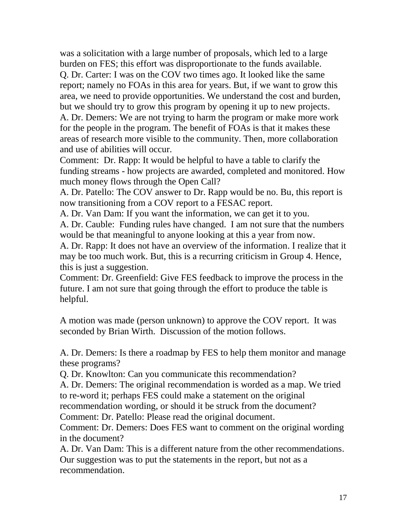was a solicitation with a large number of proposals, which led to a large burden on FES; this effort was disproportionate to the funds available.

Q. Dr. Carter: I was on the COV two times ago. It looked like the same report; namely no FOAs in this area for years. But, if we want to grow this area, we need to provide opportunities. We understand the cost and burden, but we should try to grow this program by opening it up to new projects.

A. Dr. Demers: We are not trying to harm the program or make more work for the people in the program. The benefit of FOAs is that it makes these areas of research more visible to the community. Then, more collaboration and use of abilities will occur.

Comment: Dr. Rapp: It would be helpful to have a table to clarify the funding streams - how projects are awarded, completed and monitored. How much money flows through the Open Call?

A. Dr. Patello: The COV answer to Dr. Rapp would be no. Bu, this report is now transitioning from a COV report to a FESAC report.

A. Dr. Van Dam: If you want the information, we can get it to you.

A. Dr. Cauble: Funding rules have changed. I am not sure that the numbers would be that meaningful to anyone looking at this a year from now.

A. Dr. Rapp: It does not have an overview of the information. I realize that it may be too much work. But, this is a recurring criticism in Group 4. Hence, this is just a suggestion.

Comment: Dr. Greenfield: Give FES feedback to improve the process in the future. I am not sure that going through the effort to produce the table is helpful.

A motion was made (person unknown) to approve the COV report. It was seconded by Brian Wirth. Discussion of the motion follows.

A. Dr. Demers: Is there a roadmap by FES to help them monitor and manage these programs?

Q. Dr. Knowlton: Can you communicate this recommendation?

A. Dr. Demers: The original recommendation is worded as a map. We tried to re-word it; perhaps FES could make a statement on the original

recommendation wording, or should it be struck from the document?

Comment: Dr. Patello: Please read the original document.

Comment: Dr. Demers: Does FES want to comment on the original wording in the document?

A. Dr. Van Dam: This is a different nature from the other recommendations. Our suggestion was to put the statements in the report, but not as a recommendation.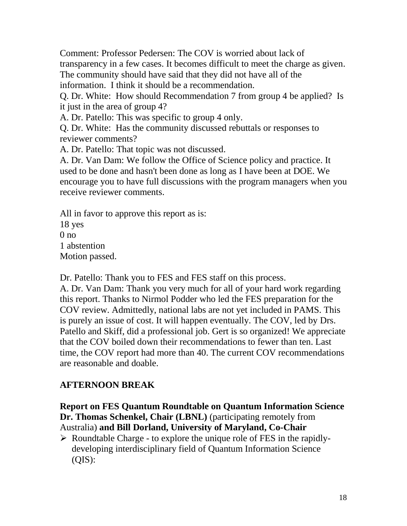Comment: Professor Pedersen: The COV is worried about lack of transparency in a few cases. It becomes difficult to meet the charge as given. The community should have said that they did not have all of the information. I think it should be a recommendation.

Q. Dr. White: How should Recommendation 7 from group 4 be applied? Is it just in the area of group 4?

A. Dr. Patello: This was specific to group 4 only.

Q. Dr. White: Has the community discussed rebuttals or responses to reviewer comments?

A. Dr. Patello: That topic was not discussed.

A. Dr. Van Dam: We follow the Office of Science policy and practice. It used to be done and hasn't been done as long as I have been at DOE. We encourage you to have full discussions with the program managers when you receive reviewer comments.

All in favor to approve this report as is:

18 yes

 $0 \text{ no}$ 

1 abstention

Motion passed.

Dr. Patello: Thank you to FES and FES staff on this process.

A. Dr. Van Dam: Thank you very much for all of your hard work regarding this report. Thanks to Nirmol Podder who led the FES preparation for the COV review. Admittedly, national labs are not yet included in PAMS. This is purely an issue of cost. It will happen eventually. The COV, led by Drs. Patello and Skiff, did a professional job. Gert is so organized! We appreciate that the COV boiled down their recommendations to fewer than ten. Last time, the COV report had more than 40. The current COV recommendations are reasonable and doable.

# **AFTERNOON BREAK**

**Report on FES Quantum Roundtable on Quantum Information Science Dr. Thomas Schenkel, Chair (LBNL)** (participating remotely from Australia) **and Bill Dorland, University of Maryland, Co-Chair**

 $\triangleright$  Roundtable Charge - to explore the unique role of FES in the rapidlydeveloping interdisciplinary field of Quantum Information Science  $(QIS)$ :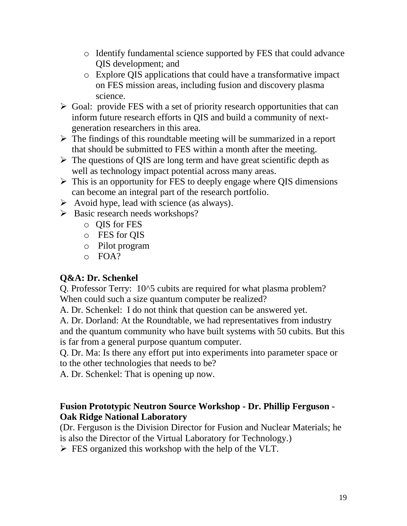- o Identify fundamental science supported by FES that could advance QIS development; and
- o Explore QIS applications that could have a transformative impact on FES mission areas, including fusion and discovery plasma science.
- $\triangleright$  Goal: provide FES with a set of priority research opportunities that can inform future research efforts in QIS and build a community of nextgeneration researchers in this area.
- $\triangleright$  The findings of this roundtable meeting will be summarized in a report that should be submitted to FES within a month after the meeting.
- $\triangleright$  The questions of QIS are long term and have great scientific depth as well as technology impact potential across many areas.
- $\triangleright$  This is an opportunity for FES to deeply engage where QIS dimensions can become an integral part of the research portfolio.
- $\triangleright$  Avoid hype, lead with science (as always).
- $\triangleright$  Basic research needs workshops?
	- o QIS for FES
	- o FES for QIS
	- o Pilot program
	- $O$  FOA?

# **Q&A: Dr. Schenkel**

Q. Professor Terry: 10^5 cubits are required for what plasma problem? When could such a size quantum computer be realized?

A. Dr. Schenkel: I do not think that question can be answered yet.

A. Dr. Dorland: At the Roundtable, we had representatives from industry and the quantum community who have built systems with 50 cubits. But this is far from a general purpose quantum computer.

Q. Dr. Ma: Is there any effort put into experiments into parameter space or to the other technologies that needs to be?

A. Dr. Schenkel: That is opening up now.

### **Fusion Prototypic Neutron Source Workshop - Dr. Phillip Ferguson - Oak Ridge National Laboratory**

(Dr. Ferguson is the Division Director for Fusion and Nuclear Materials; he is also the Director of the Virtual Laboratory for Technology.)

 $\triangleright$  FES organized this workshop with the help of the VLT.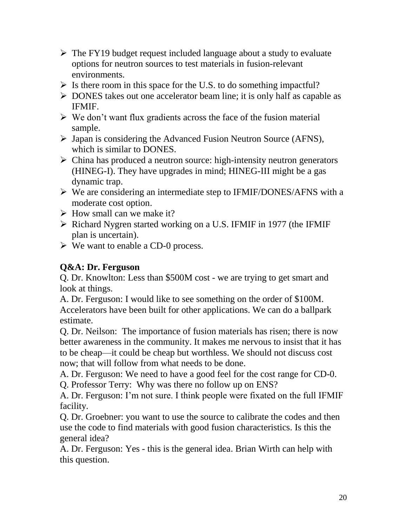- $\triangleright$  The FY19 budget request included language about a study to evaluate options for neutron sources to test materials in fusion-relevant environments.
- $\triangleright$  Is there room in this space for the U.S. to do something impactful?
- $\triangleright$  DONES takes out one accelerator beam line; it is only half as capable as IFMIF.
- $\triangleright$  We don't want flux gradients across the face of the fusion material sample.
- $\triangleright$  Japan is considering the Advanced Fusion Neutron Source (AFNS), which is similar to DONES.
- $\triangleright$  China has produced a neutron source: high-intensity neutron generators (HINEG-I). They have upgrades in mind; HINEG-III might be a gas dynamic trap.
- We are considering an intermediate step to IFMIF/DONES/AFNS with a moderate cost option.
- $\triangleright$  How small can we make it?
- $\triangleright$  Richard Nygren started working on a U.S. IFMIF in 1977 (the IFMIF plan is uncertain).
- $\triangleright$  We want to enable a CD-0 process.

### **Q&A: Dr. Ferguson**

Q. Dr. Knowlton: Less than \$500M cost - we are trying to get smart and look at things.

A. Dr. Ferguson: I would like to see something on the order of \$100M. Accelerators have been built for other applications. We can do a ballpark estimate.

Q. Dr. Neilson: The importance of fusion materials has risen; there is now better awareness in the community. It makes me nervous to insist that it has to be cheap—it could be cheap but worthless. We should not discuss cost now; that will follow from what needs to be done.

A. Dr. Ferguson: We need to have a good feel for the cost range for CD-0.

Q. Professor Terry: Why was there no follow up on ENS?

A. Dr. Ferguson: I'm not sure. I think people were fixated on the full IFMIF facility.

Q. Dr. Groebner: you want to use the source to calibrate the codes and then use the code to find materials with good fusion characteristics. Is this the general idea?

A. Dr. Ferguson: Yes - this is the general idea. Brian Wirth can help with this question.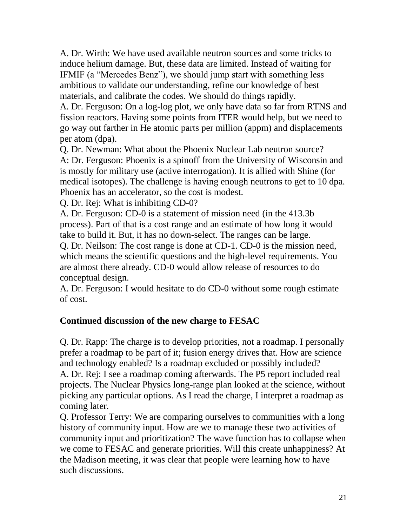A. Dr. Wirth: We have used available neutron sources and some tricks to induce helium damage. But, these data are limited. Instead of waiting for IFMIF (a "Mercedes Benz"), we should jump start with something less ambitious to validate our understanding, refine our knowledge of best materials, and calibrate the codes. We should do things rapidly.

A. Dr. Ferguson: On a log-log plot, we only have data so far from RTNS and fission reactors. Having some points from ITER would help, but we need to go way out farther in He atomic parts per million (appm) and displacements per atom (dpa).

Q. Dr. Newman: What about the Phoenix Nuclear Lab neutron source? A: Dr. Ferguson: Phoenix is a spinoff from the University of Wisconsin and is mostly for military use (active interrogation). It is allied with Shine (for medical isotopes). The challenge is having enough neutrons to get to 10 dpa. Phoenix has an accelerator, so the cost is modest.

Q. Dr. Rej: What is inhibiting CD-0?

A. Dr. Ferguson: CD-0 is a statement of mission need (in the 413.3b process). Part of that is a cost range and an estimate of how long it would take to build it. But, it has no down-select. The ranges can be large.

Q. Dr. Neilson: The cost range is done at CD-1. CD-0 is the mission need, which means the scientific questions and the high-level requirements. You are almost there already. CD-0 would allow release of resources to do conceptual design.

A. Dr. Ferguson: I would hesitate to do CD-0 without some rough estimate of cost.

### **Continued discussion of the new charge to FESAC**

Q. Dr. Rapp: The charge is to develop priorities, not a roadmap. I personally prefer a roadmap to be part of it; fusion energy drives that. How are science and technology enabled? Is a roadmap excluded or possibly included? A. Dr. Rej: I see a roadmap coming afterwards. The P5 report included real projects. The Nuclear Physics long-range plan looked at the science, without picking any particular options. As I read the charge, I interpret a roadmap as coming later.

Q. Professor Terry: We are comparing ourselves to communities with a long history of community input. How are we to manage these two activities of community input and prioritization? The wave function has to collapse when we come to FESAC and generate priorities. Will this create unhappiness? At the Madison meeting, it was clear that people were learning how to have such discussions.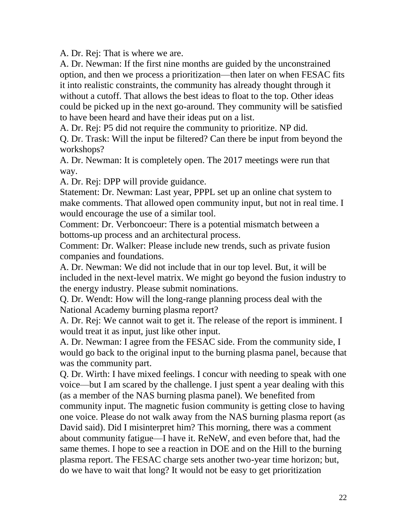A. Dr. Rej: That is where we are.

A. Dr. Newman: If the first nine months are guided by the unconstrained option, and then we process a prioritization—then later on when FESAC fits it into realistic constraints, the community has already thought through it without a cutoff. That allows the best ideas to float to the top. Other ideas could be picked up in the next go-around. They community will be satisfied to have been heard and have their ideas put on a list.

A. Dr. Rej: P5 did not require the community to prioritize. NP did.

Q. Dr. Trask: Will the input be filtered? Can there be input from beyond the workshops?

A. Dr. Newman: It is completely open. The 2017 meetings were run that way.

A. Dr. Rej: DPP will provide guidance.

Statement: Dr. Newman: Last year, PPPL set up an online chat system to make comments. That allowed open community input, but not in real time. I would encourage the use of a similar tool.

Comment: Dr. Verboncoeur: There is a potential mismatch between a bottoms-up process and an architectural process.

Comment: Dr. Walker: Please include new trends, such as private fusion companies and foundations.

A. Dr. Newman: We did not include that in our top level. But, it will be included in the next-level matrix. We might go beyond the fusion industry to the energy industry. Please submit nominations.

Q. Dr. Wendt: How will the long-range planning process deal with the National Academy burning plasma report?

A. Dr. Rej: We cannot wait to get it. The release of the report is imminent. I would treat it as input, just like other input.

A. Dr. Newman: I agree from the FESAC side. From the community side, I would go back to the original input to the burning plasma panel, because that was the community part.

Q. Dr. Wirth: I have mixed feelings. I concur with needing to speak with one voice—but I am scared by the challenge. I just spent a year dealing with this (as a member of the NAS burning plasma panel). We benefited from community input. The magnetic fusion community is getting close to having one voice. Please do not walk away from the NAS burning plasma report (as David said). Did I misinterpret him? This morning, there was a comment about community fatigue—I have it. ReNeW, and even before that, had the same themes. I hope to see a reaction in DOE and on the Hill to the burning plasma report. The FESAC charge sets another two-year time horizon; but, do we have to wait that long? It would not be easy to get prioritization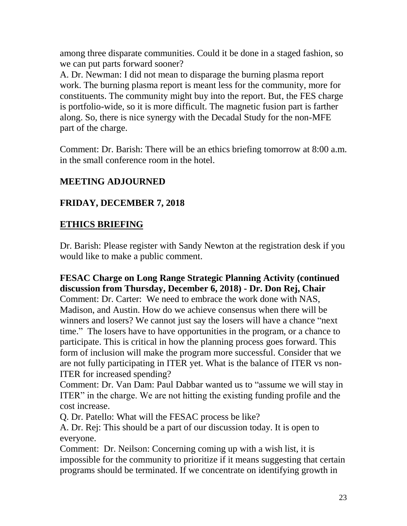among three disparate communities. Could it be done in a staged fashion, so we can put parts forward sooner?

A. Dr. Newman: I did not mean to disparage the burning plasma report work. The burning plasma report is meant less for the community, more for constituents. The community might buy into the report. But, the FES charge is portfolio-wide, so it is more difficult. The magnetic fusion part is farther along. So, there is nice synergy with the Decadal Study for the non-MFE part of the charge.

Comment: Dr. Barish: There will be an ethics briefing tomorrow at 8:00 a.m. in the small conference room in the hotel.

# **MEETING ADJOURNED**

# **FRIDAY, DECEMBER 7, 2018**

### **ETHICS BRIEFING**

Dr. Barish: Please register with Sandy Newton at the registration desk if you would like to make a public comment.

### **FESAC Charge on Long Range Strategic Planning Activity (continued discussion from Thursday, December 6, 2018) - Dr. Don Rej, Chair**

Comment: Dr. Carter: We need to embrace the work done with NAS, Madison, and Austin. How do we achieve consensus when there will be winners and losers? We cannot just say the losers will have a chance "next time." The losers have to have opportunities in the program, or a chance to participate. This is critical in how the planning process goes forward. This form of inclusion will make the program more successful. Consider that we are not fully participating in ITER yet. What is the balance of ITER vs non-ITER for increased spending?

Comment: Dr. Van Dam: Paul Dabbar wanted us to "assume we will stay in ITER" in the charge. We are not hitting the existing funding profile and the cost increase.

Q. Dr. Patello: What will the FESAC process be like?

A. Dr. Rej: This should be a part of our discussion today. It is open to everyone.

Comment: Dr. Neilson: Concerning coming up with a wish list, it is impossible for the community to prioritize if it means suggesting that certain programs should be terminated. If we concentrate on identifying growth in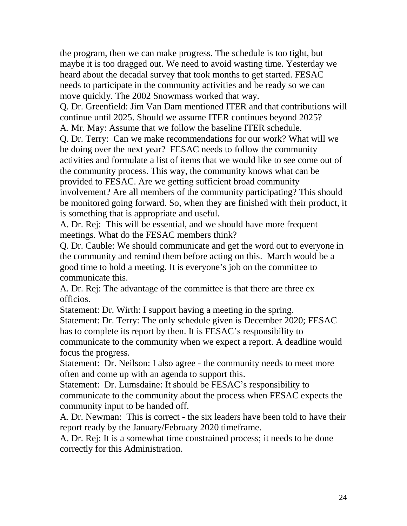the program, then we can make progress. The schedule is too tight, but maybe it is too dragged out. We need to avoid wasting time. Yesterday we heard about the decadal survey that took months to get started. FESAC needs to participate in the community activities and be ready so we can move quickly. The 2002 Snowmass worked that way.

Q. Dr. Greenfield: Jim Van Dam mentioned ITER and that contributions will continue until 2025. Should we assume ITER continues beyond 2025? A. Mr. May: Assume that we follow the baseline ITER schedule.

Q. Dr. Terry: Can we make recommendations for our work? What will we be doing over the next year? FESAC needs to follow the community activities and formulate a list of items that we would like to see come out of the community process. This way, the community knows what can be provided to FESAC. Are we getting sufficient broad community involvement? Are all members of the community participating? This should be monitored going forward. So, when they are finished with their product, it is something that is appropriate and useful.

A. Dr. Rej: This will be essential, and we should have more frequent meetings. What do the FESAC members think?

Q. Dr. Cauble: We should communicate and get the word out to everyone in the community and remind them before acting on this. March would be a good time to hold a meeting. It is everyone's job on the committee to communicate this.

A. Dr. Rej: The advantage of the committee is that there are three ex officios.

Statement: Dr. Wirth: I support having a meeting in the spring.

Statement: Dr. Terry: The only schedule given is December 2020; FESAC has to complete its report by then. It is FESAC's responsibility to communicate to the community when we expect a report. A deadline would focus the progress.

Statement: Dr. Neilson: I also agree - the community needs to meet more often and come up with an agenda to support this.

Statement: Dr. Lumsdaine: It should be FESAC's responsibility to communicate to the community about the process when FESAC expects the community input to be handed off.

A. Dr. Newman: This is correct - the six leaders have been told to have their report ready by the January/February 2020 timeframe.

A. Dr. Rej: It is a somewhat time constrained process; it needs to be done correctly for this Administration.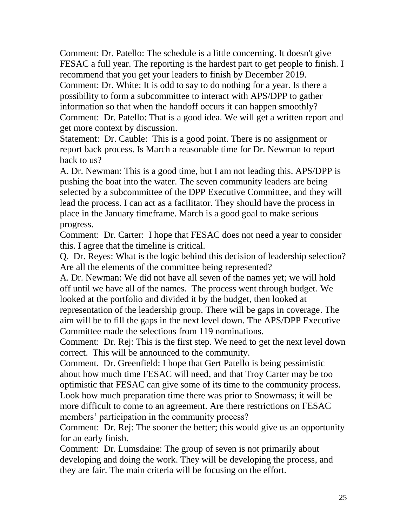Comment: Dr. Patello: The schedule is a little concerning. It doesn't give FESAC a full year. The reporting is the hardest part to get people to finish. I recommend that you get your leaders to finish by December 2019.

Comment: Dr. White: It is odd to say to do nothing for a year. Is there a possibility to form a subcommittee to interact with APS/DPP to gather information so that when the handoff occurs it can happen smoothly? Comment: Dr. Patello: That is a good idea. We will get a written report and get more context by discussion.

Statement: Dr. Cauble: This is a good point. There is no assignment or report back process. Is March a reasonable time for Dr. Newman to report back to us?

A. Dr. Newman: This is a good time, but I am not leading this. APS/DPP is pushing the boat into the water. The seven community leaders are being selected by a subcommittee of the DPP Executive Committee, and they will lead the process. I can act as a facilitator. They should have the process in place in the January timeframe. March is a good goal to make serious progress.

Comment: Dr. Carter: I hope that FESAC does not need a year to consider this. I agree that the timeline is critical.

Q. Dr. Reyes: What is the logic behind this decision of leadership selection? Are all the elements of the committee being represented?

A. Dr. Newman: We did not have all seven of the names yet; we will hold off until we have all of the names. The process went through budget. We looked at the portfolio and divided it by the budget, then looked at representation of the leadership group. There will be gaps in coverage. The aim will be to fill the gaps in the next level down. The APS/DPP Executive Committee made the selections from 119 nominations.

Comment: Dr. Rej: This is the first step. We need to get the next level down correct. This will be announced to the community.

Comment. Dr. Greenfield: I hope that Gert Patello is being pessimistic about how much time FESAC will need, and that Troy Carter may be too optimistic that FESAC can give some of its time to the community process. Look how much preparation time there was prior to Snowmass; it will be more difficult to come to an agreement. Are there restrictions on FESAC members' participation in the community process?

Comment: Dr. Rej: The sooner the better; this would give us an opportunity for an early finish.

Comment: Dr. Lumsdaine: The group of seven is not primarily about developing and doing the work. They will be developing the process, and they are fair. The main criteria will be focusing on the effort.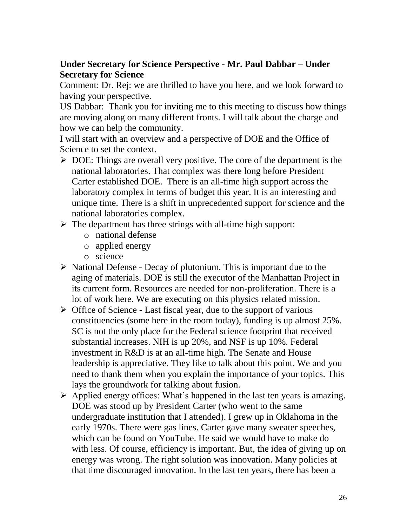### **Under Secretary for Science Perspective - Mr. Paul Dabbar – Under Secretary for Science**

Comment: Dr. Rej: we are thrilled to have you here, and we look forward to having your perspective.

US Dabbar: Thank you for inviting me to this meeting to discuss how things are moving along on many different fronts. I will talk about the charge and how we can help the community.

I will start with an overview and a perspective of DOE and the Office of Science to set the context.

- $\triangleright$  DOE: Things are overall very positive. The core of the department is the national laboratories. That complex was there long before President Carter established DOE. There is an all-time high support across the laboratory complex in terms of budget this year. It is an interesting and unique time. There is a shift in unprecedented support for science and the national laboratories complex.
- $\triangleright$  The department has three strings with all-time high support:
	- o national defense
	- o applied energy
	- o science
- $\triangleright$  National Defense Decay of plutonium. This is important due to the aging of materials. DOE is still the executor of the Manhattan Project in its current form. Resources are needed for non-proliferation. There is a lot of work here. We are executing on this physics related mission.
- $\triangleright$  Office of Science Last fiscal year, due to the support of various constituencies (some here in the room today), funding is up almost 25%. SC is not the only place for the Federal science footprint that received substantial increases. NIH is up 20%, and NSF is up 10%. Federal investment in R&D is at an all-time high. The Senate and House leadership is appreciative. They like to talk about this point. We and you need to thank them when you explain the importance of your topics. This lays the groundwork for talking about fusion.
- $\triangleright$  Applied energy offices: What's happened in the last ten years is amazing. DOE was stood up by President Carter (who went to the same undergraduate institution that I attended). I grew up in Oklahoma in the early 1970s. There were gas lines. Carter gave many sweater speeches, which can be found on YouTube. He said we would have to make do with less. Of course, efficiency is important. But, the idea of giving up on energy was wrong. The right solution was innovation. Many policies at that time discouraged innovation. In the last ten years, there has been a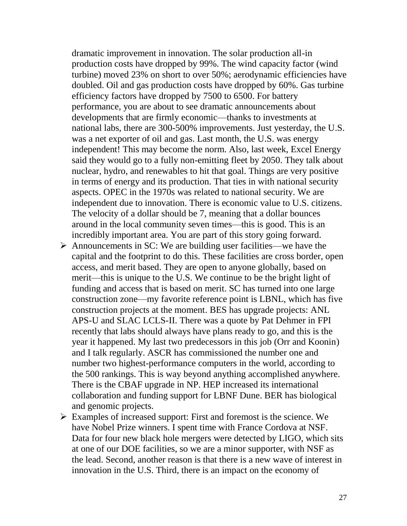dramatic improvement in innovation. The solar production all-in production costs have dropped by 99%. The wind capacity factor (wind turbine) moved 23% on short to over 50%; aerodynamic efficiencies have doubled. Oil and gas production costs have dropped by 60%. Gas turbine efficiency factors have dropped by 7500 to 6500. For battery performance, you are about to see dramatic announcements about developments that are firmly economic—thanks to investments at national labs, there are 300-500% improvements. Just yesterday, the U.S. was a net exporter of oil and gas. Last month, the U.S. was energy independent! This may become the norm. Also, last week, Excel Energy said they would go to a fully non-emitting fleet by 2050. They talk about nuclear, hydro, and renewables to hit that goal. Things are very positive in terms of energy and its production. That ties in with national security aspects. OPEC in the 1970s was related to national security. We are independent due to innovation. There is economic value to U.S. citizens. The velocity of a dollar should be 7, meaning that a dollar bounces around in the local community seven times—this is good. This is an incredibly important area. You are part of this story going forward.

- $\triangleright$  Announcements in SC: We are building user facilities—we have the capital and the footprint to do this. These facilities are cross border, open access, and merit based. They are open to anyone globally, based on merit—this is unique to the U.S. We continue to be the bright light of funding and access that is based on merit. SC has turned into one large construction zone—my favorite reference point is LBNL, which has five construction projects at the moment. BES has upgrade projects: ANL APS-U and SLAC LCLS-II. There was a quote by Pat Dehmer in FPI recently that labs should always have plans ready to go, and this is the year it happened. My last two predecessors in this job (Orr and Koonin) and I talk regularly. ASCR has commissioned the number one and number two highest-performance computers in the world, according to the 500 rankings. This is way beyond anything accomplished anywhere. There is the CBAF upgrade in NP. HEP increased its international collaboration and funding support for LBNF Dune. BER has biological and genomic projects.
- $\triangleright$  Examples of increased support: First and foremost is the science. We have Nobel Prize winners. I spent time with France Cordova at NSF. Data for four new black hole mergers were detected by LIGO, which sits at one of our DOE facilities, so we are a minor supporter, with NSF as the lead. Second, another reason is that there is a new wave of interest in innovation in the U.S. Third, there is an impact on the economy of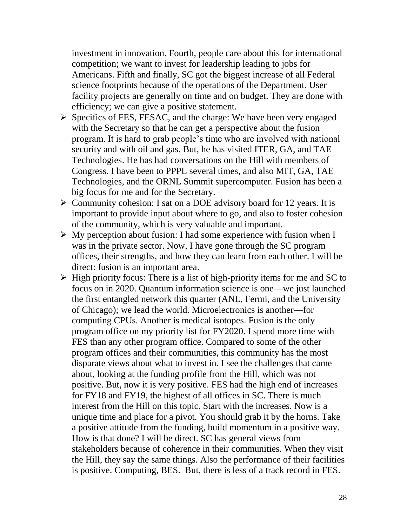investment in innovation. Fourth, people care about this for international competition; we want to invest for leadership leading to jobs for Americans. Fifth and finally, SC got the biggest increase of all Federal science footprints because of the operations of the Department. User facility projects are generally on time and on budget. They are done with efficiency; we can give a positive statement.

- $\triangleright$  Specifics of FES, FESAC, and the charge: We have been very engaged with the Secretary so that he can get a perspective about the fusion program. It is hard to grab people's time who are involved with national security and with oil and gas. But, he has visited ITER, GA, and TAE Technologies. He has had conversations on the Hill with members of Congress. I have been to PPPL several times, and also MIT, GA, TAE Technologies, and the ORNL Summit supercomputer. Fusion has been a big focus for me and for the Secretary.
- $\triangleright$  Community cohesion: I sat on a DOE advisory board for 12 years. It is important to provide input about where to go, and also to foster cohesion of the community, which is very valuable and important.
- $\triangleright$  My perception about fusion: I had some experience with fusion when I was in the private sector. Now, I have gone through the SC program offices, their strengths, and how they can learn from each other. I will be direct: fusion is an important area.
- $\triangleright$  High priority focus: There is a list of high-priority items for me and SC to focus on in 2020. Quantum information science is one—we just launched the first entangled network this quarter (ANL, Fermi, and the University of Chicago); we lead the world. Microelectronics is another—for computing CPUs. Another is medical isotopes. Fusion is the only program office on my priority list for FY2020. I spend more time with FES than any other program office. Compared to some of the other program offices and their communities, this community has the most disparate views about what to invest in. I see the challenges that came about, looking at the funding profile from the Hill, which was not positive. But, now it is very positive. FES had the high end of increases for FY18 and FY19, the highest of all offices in SC. There is much interest from the Hill on this topic. Start with the increases. Now is a unique time and place for a pivot. You should grab it by the horns. Take a positive attitude from the funding, build momentum in a positive way. How is that done? I will be direct. SC has general views from stakeholders because of coherence in their communities. When they visit the Hill, they say the same things. Also the performance of their facilities is positive. Computing, BES. But, there is less of a track record in FES.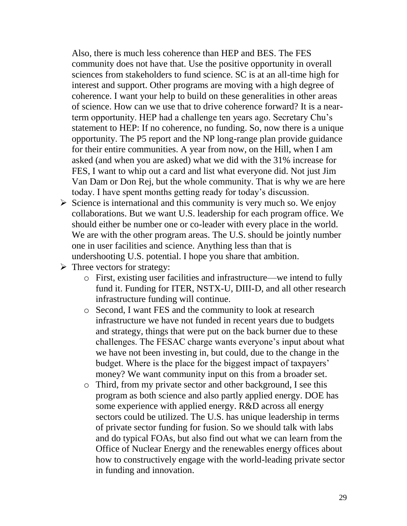Also, there is much less coherence than HEP and BES. The FES community does not have that. Use the positive opportunity in overall sciences from stakeholders to fund science. SC is at an all-time high for interest and support. Other programs are moving with a high degree of coherence. I want your help to build on these generalities in other areas of science. How can we use that to drive coherence forward? It is a nearterm opportunity. HEP had a challenge ten years ago. Secretary Chu's statement to HEP: If no coherence, no funding. So, now there is a unique opportunity. The P5 report and the NP long-range plan provide guidance for their entire communities. A year from now, on the Hill, when I am asked (and when you are asked) what we did with the 31% increase for FES, I want to whip out a card and list what everyone did. Not just Jim Van Dam or Don Rej, but the whole community. That is why we are here today. I have spent months getting ready for today's discussion.

- $\triangleright$  Science is international and this community is very much so. We enjoy collaborations. But we want U.S. leadership for each program office. We should either be number one or co-leader with every place in the world. We are with the other program areas. The U.S. should be jointly number one in user facilities and science. Anything less than that is undershooting U.S. potential. I hope you share that ambition.
- $\triangleright$  Three vectors for strategy:
	- o First, existing user facilities and infrastructure—we intend to fully fund it. Funding for ITER, NSTX-U, DIII-D, and all other research infrastructure funding will continue.
	- o Second, I want FES and the community to look at research infrastructure we have not funded in recent years due to budgets and strategy, things that were put on the back burner due to these challenges. The FESAC charge wants everyone's input about what we have not been investing in, but could, due to the change in the budget. Where is the place for the biggest impact of taxpayers' money? We want community input on this from a broader set.
	- o Third, from my private sector and other background, I see this program as both science and also partly applied energy. DOE has some experience with applied energy. R&D across all energy sectors could be utilized. The U.S. has unique leadership in terms of private sector funding for fusion. So we should talk with labs and do typical FOAs, but also find out what we can learn from the Office of Nuclear Energy and the renewables energy offices about how to constructively engage with the world-leading private sector in funding and innovation.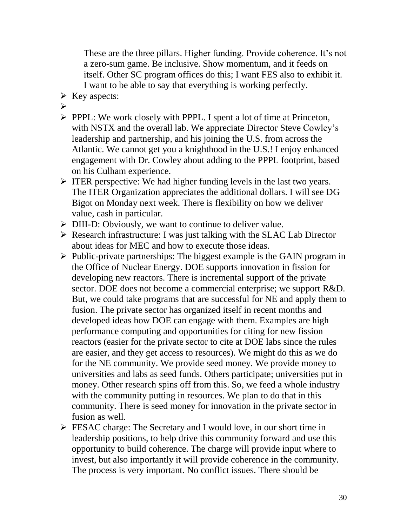These are the three pillars. Higher funding. Provide coherence. It's not a zero-sum game. Be inclusive. Show momentum, and it feeds on itself. Other SC program offices do this; I want FES also to exhibit it. I want to be able to say that everything is working perfectly.

- $\triangleright$  Key aspects:
- $\blacktriangleright$
- PPPL: We work closely with PPPL. I spent a lot of time at Princeton, with NSTX and the overall lab. We appreciate Director Steve Cowley's leadership and partnership, and his joining the U.S. from across the Atlantic. We cannot get you a knighthood in the U.S.! I enjoy enhanced engagement with Dr. Cowley about adding to the PPPL footprint, based on his Culham experience.
- $\triangleright$  ITER perspective: We had higher funding levels in the last two years. The ITER Organization appreciates the additional dollars. I will see DG Bigot on Monday next week. There is flexibility on how we deliver value, cash in particular.
- ▶ DIII-D: Obviously, we want to continue to deliver value.
- $\triangleright$  Research infrastructure: I was just talking with the SLAC Lab Director about ideas for MEC and how to execute those ideas.
- $\triangleright$  Public-private partnerships: The biggest example is the GAIN program in the Office of Nuclear Energy. DOE supports innovation in fission for developing new reactors. There is incremental support of the private sector. DOE does not become a commercial enterprise; we support R&D. But, we could take programs that are successful for NE and apply them to fusion. The private sector has organized itself in recent months and developed ideas how DOE can engage with them. Examples are high performance computing and opportunities for citing for new fission reactors (easier for the private sector to cite at DOE labs since the rules are easier, and they get access to resources). We might do this as we do for the NE community. We provide seed money. We provide money to universities and labs as seed funds. Others participate; universities put in money. Other research spins off from this. So, we feed a whole industry with the community putting in resources. We plan to do that in this community. There is seed money for innovation in the private sector in fusion as well.
- FESAC charge: The Secretary and I would love, in our short time in leadership positions, to help drive this community forward and use this opportunity to build coherence. The charge will provide input where to invest, but also importantly it will provide coherence in the community. The process is very important. No conflict issues. There should be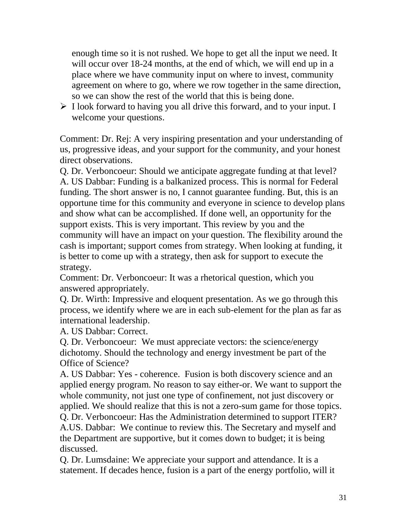enough time so it is not rushed. We hope to get all the input we need. It will occur over 18-24 months, at the end of which, we will end up in a place where we have community input on where to invest, community agreement on where to go, where we row together in the same direction, so we can show the rest of the world that this is being done.

 $\triangleright$  I look forward to having you all drive this forward, and to your input. I welcome your questions.

Comment: Dr. Rej: A very inspiring presentation and your understanding of us, progressive ideas, and your support for the community, and your honest direct observations.

Q. Dr. Verboncoeur: Should we anticipate aggregate funding at that level? A. US Dabbar: Funding is a balkanized process. This is normal for Federal funding. The short answer is no, I cannot guarantee funding. But, this is an opportune time for this community and everyone in science to develop plans and show what can be accomplished. If done well, an opportunity for the support exists. This is very important. This review by you and the community will have an impact on your question. The flexibility around the cash is important; support comes from strategy. When looking at funding, it is better to come up with a strategy, then ask for support to execute the strategy.

Comment: Dr. Verboncoeur: It was a rhetorical question, which you answered appropriately.

Q. Dr. Wirth: Impressive and eloquent presentation. As we go through this process, we identify where we are in each sub-element for the plan as far as international leadership.

A. US Dabbar: Correct.

Q. Dr. Verboncoeur: We must appreciate vectors: the science/energy dichotomy. Should the technology and energy investment be part of the Office of Science?

A. US Dabbar: Yes - coherence. Fusion is both discovery science and an applied energy program. No reason to say either-or. We want to support the whole community, not just one type of confinement, not just discovery or applied. We should realize that this is not a zero-sum game for those topics.

Q. Dr. Verboncoeur: Has the Administration determined to support ITER? A.US. Dabbar: We continue to review this. The Secretary and myself and the Department are supportive, but it comes down to budget; it is being discussed.

Q. Dr. Lumsdaine: We appreciate your support and attendance. It is a statement. If decades hence, fusion is a part of the energy portfolio, will it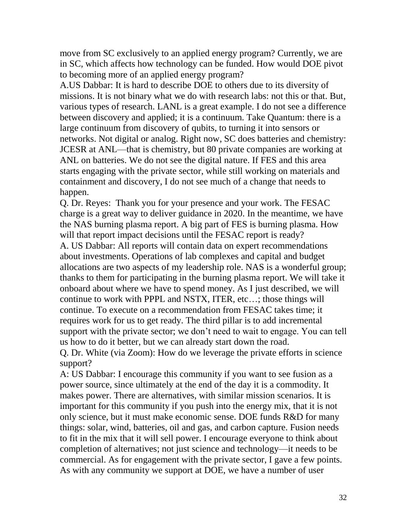move from SC exclusively to an applied energy program? Currently, we are in SC, which affects how technology can be funded. How would DOE pivot to becoming more of an applied energy program?

A.US Dabbar: It is hard to describe DOE to others due to its diversity of missions. It is not binary what we do with research labs: not this or that. But, various types of research. LANL is a great example. I do not see a difference between discovery and applied; it is a continuum. Take Quantum: there is a large continuum from discovery of qubits, to turning it into sensors or networks. Not digital or analog. Right now, SC does batteries and chemistry: JCESR at ANL—that is chemistry, but 80 private companies are working at ANL on batteries. We do not see the digital nature. If FES and this area starts engaging with the private sector, while still working on materials and containment and discovery, I do not see much of a change that needs to happen.

Q. Dr. Reyes: Thank you for your presence and your work. The FESAC charge is a great way to deliver guidance in 2020. In the meantime, we have the NAS burning plasma report. A big part of FES is burning plasma. How will that report impact decisions until the FESAC report is ready?

A. US Dabbar: All reports will contain data on expert recommendations about investments. Operations of lab complexes and capital and budget allocations are two aspects of my leadership role. NAS is a wonderful group; thanks to them for participating in the burning plasma report. We will take it onboard about where we have to spend money. As I just described, we will continue to work with PPPL and NSTX, ITER, etc…; those things will continue. To execute on a recommendation from FESAC takes time; it requires work for us to get ready. The third pillar is to add incremental support with the private sector; we don't need to wait to engage. You can tell us how to do it better, but we can already start down the road. Q. Dr. White (via Zoom): How do we leverage the private efforts in science

support?

A: US Dabbar: I encourage this community if you want to see fusion as a power source, since ultimately at the end of the day it is a commodity. It makes power. There are alternatives, with similar mission scenarios. It is important for this community if you push into the energy mix, that it is not only science, but it must make economic sense. DOE funds R&D for many things: solar, wind, batteries, oil and gas, and carbon capture. Fusion needs to fit in the mix that it will sell power. I encourage everyone to think about completion of alternatives; not just science and technology—it needs to be commercial. As for engagement with the private sector, I gave a few points. As with any community we support at DOE, we have a number of user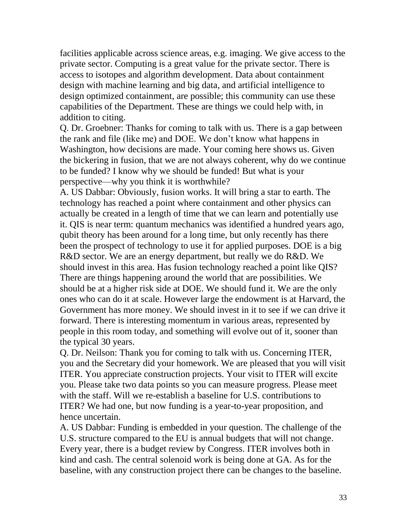facilities applicable across science areas, e.g. imaging. We give access to the private sector. Computing is a great value for the private sector. There is access to isotopes and algorithm development. Data about containment design with machine learning and big data, and artificial intelligence to design optimized containment, are possible; this community can use these capabilities of the Department. These are things we could help with, in addition to citing.

Q. Dr. Groebner: Thanks for coming to talk with us. There is a gap between the rank and file (like me) and DOE. We don't know what happens in Washington, how decisions are made. Your coming here shows us. Given the bickering in fusion, that we are not always coherent, why do we continue to be funded? I know why we should be funded! But what is your perspective—why you think it is worthwhile?

A. US Dabbar: Obviously, fusion works. It will bring a star to earth. The technology has reached a point where containment and other physics can actually be created in a length of time that we can learn and potentially use it. QIS is near term: quantum mechanics was identified a hundred years ago, qubit theory has been around for a long time, but only recently has there been the prospect of technology to use it for applied purposes. DOE is a big R&D sector. We are an energy department, but really we do R&D. We should invest in this area. Has fusion technology reached a point like QIS? There are things happening around the world that are possibilities. We should be at a higher risk side at DOE. We should fund it. We are the only ones who can do it at scale. However large the endowment is at Harvard, the Government has more money. We should invest in it to see if we can drive it forward. There is interesting momentum in various areas, represented by people in this room today, and something will evolve out of it, sooner than the typical 30 years.

Q. Dr. Neilson: Thank you for coming to talk with us. Concerning ITER, you and the Secretary did your homework. We are pleased that you will visit ITER. You appreciate construction projects. Your visit to ITER will excite you. Please take two data points so you can measure progress. Please meet with the staff. Will we re-establish a baseline for U.S. contributions to ITER? We had one, but now funding is a year-to-year proposition, and hence uncertain.

A. US Dabbar: Funding is embedded in your question. The challenge of the U.S. structure compared to the EU is annual budgets that will not change. Every year, there is a budget review by Congress. ITER involves both in kind and cash. The central solenoid work is being done at GA. As for the baseline, with any construction project there can be changes to the baseline.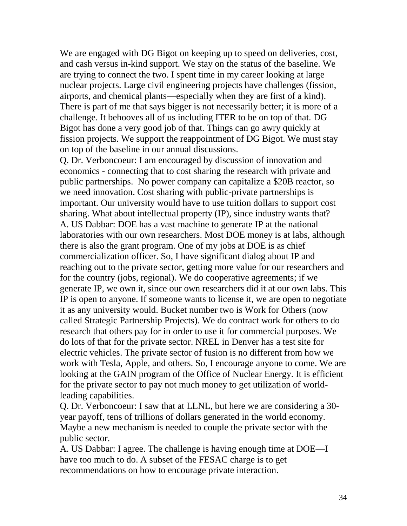We are engaged with DG Bigot on keeping up to speed on deliveries, cost, and cash versus in-kind support. We stay on the status of the baseline. We are trying to connect the two. I spent time in my career looking at large nuclear projects. Large civil engineering projects have challenges (fission, airports, and chemical plants—especially when they are first of a kind). There is part of me that says bigger is not necessarily better; it is more of a challenge. It behooves all of us including ITER to be on top of that. DG Bigot has done a very good job of that. Things can go awry quickly at fission projects. We support the reappointment of DG Bigot. We must stay on top of the baseline in our annual discussions.

Q. Dr. Verboncoeur: I am encouraged by discussion of innovation and economics - connecting that to cost sharing the research with private and public partnerships. No power company can capitalize a \$20B reactor, so we need innovation. Cost sharing with public-private partnerships is important. Our university would have to use tuition dollars to support cost sharing. What about intellectual property (IP), since industry wants that? A. US Dabbar: DOE has a vast machine to generate IP at the national laboratories with our own researchers. Most DOE money is at labs, although there is also the grant program. One of my jobs at DOE is as chief commercialization officer. So, I have significant dialog about IP and reaching out to the private sector, getting more value for our researchers and for the country (jobs, regional). We do cooperative agreements; if we generate IP, we own it, since our own researchers did it at our own labs. This IP is open to anyone. If someone wants to license it, we are open to negotiate it as any university would. Bucket number two is Work for Others (now called Strategic Partnership Projects). We do contract work for others to do research that others pay for in order to use it for commercial purposes. We do lots of that for the private sector. NREL in Denver has a test site for electric vehicles. The private sector of fusion is no different from how we work with Tesla, Apple, and others. So, I encourage anyone to come. We are looking at the GAIN program of the Office of Nuclear Energy. It is efficient for the private sector to pay not much money to get utilization of worldleading capabilities.

Q. Dr. Verboncoeur: I saw that at LLNL, but here we are considering a 30 year payoff, tens of trillions of dollars generated in the world economy. Maybe a new mechanism is needed to couple the private sector with the public sector.

A. US Dabbar: I agree. The challenge is having enough time at DOE—I have too much to do. A subset of the FESAC charge is to get recommendations on how to encourage private interaction.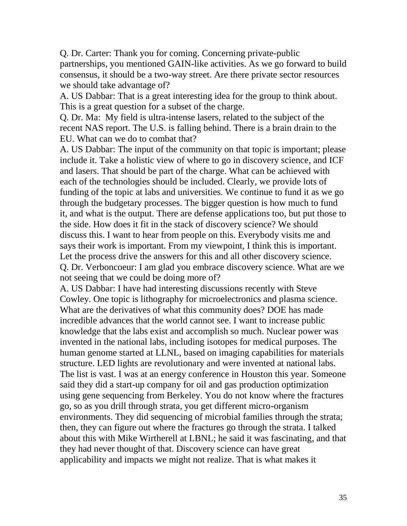Q. Dr. Carter: Thank you for coming. Concerning private-public partnerships, you mentioned GAIN-like activities. As we go forward to build consensus, it should be a two-way street. Are there private sector resources we should take advantage of?

A. US Dabbar: That is a great interesting idea for the group to think about. This is a great question for a subset of the charge.

Q. Dr. Ma: My field is ultra-intense lasers, related to the subject of the recent NAS report. The U.S. is falling behind. There is a brain drain to the EU. What can we do to combat that?

A. US Dabbar: The input of the community on that topic is important; please include it. Take a holistic view of where to go in discovery science, and ICF and lasers. That should be part of the charge. What can be achieved with each of the technologies should be included. Clearly, we provide lots of funding of the topic at labs and universities. We continue to fund it as we go through the budgetary processes. The bigger question is how much to fund it, and what is the output. There are defense applications too, but put those to the side. How does it fit in the stack of discovery science? We should discuss this. I want to hear from people on this. Everybody visits me and says their work is important. From my viewpoint, I think this is important. Let the process drive the answers for this and all other discovery science. Q. Dr. Verboncoeur: I am glad you embrace discovery science. What are we not seeing that we could be doing more of?

A. US Dabbar: I have had interesting discussions recently with Steve Cowley. One topic is lithography for microelectronics and plasma science. What are the derivatives of what this community does? DOE has made incredible advances that the world cannot see. I want to increase public knowledge that the labs exist and accomplish so much. Nuclear power was invented in the national labs, including isotopes for medical purposes. The human genome started at LLNL, based on imaging capabilities for materials structure. LED lights are revolutionary and were invented at national labs. The list is vast. I was at an energy conference in Houston this year. Someone said they did a start-up company for oil and gas production optimization using gene sequencing from Berkeley. You do not know where the fractures go, so as you drill through strata, you get different micro-organism environments. They did sequencing of microbial families through the strata; then, they can figure out where the fractures go through the strata. I talked about this with Mike Wirtherell at LBNL; he said it was fascinating, and that they had never thought of that. Discovery science can have great applicability and impacts we might not realize. That is what makes it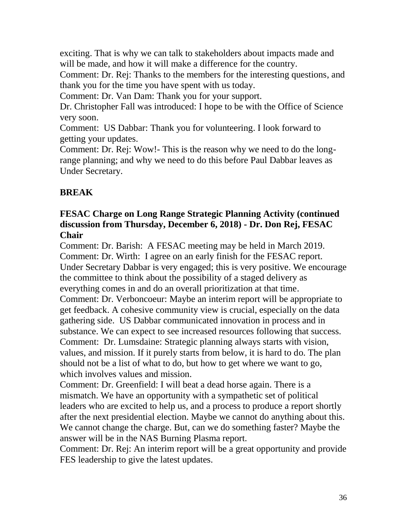exciting. That is why we can talk to stakeholders about impacts made and will be made, and how it will make a difference for the country.

Comment: Dr. Rej: Thanks to the members for the interesting questions, and thank you for the time you have spent with us today.

Comment: Dr. Van Dam: Thank you for your support.

Dr. Christopher Fall was introduced: I hope to be with the Office of Science very soon.

Comment: US Dabbar: Thank you for volunteering. I look forward to getting your updates.

Comment: Dr. Rej: Wow!- This is the reason why we need to do the longrange planning; and why we need to do this before Paul Dabbar leaves as Under Secretary.

# **BREAK**

### **FESAC Charge on Long Range Strategic Planning Activity (continued discussion from Thursday, December 6, 2018) - Dr. Don Rej, FESAC Chair**

Comment: Dr. Barish: A FESAC meeting may be held in March 2019. Comment: Dr. Wirth: I agree on an early finish for the FESAC report. Under Secretary Dabbar is very engaged; this is very positive. We encourage the committee to think about the possibility of a staged delivery as everything comes in and do an overall prioritization at that time. Comment: Dr. Verboncoeur: Maybe an interim report will be appropriate to get feedback. A cohesive community view is crucial, especially on the data gathering side. US Dabbar communicated innovation in process and in substance. We can expect to see increased resources following that success. Comment: Dr. Lumsdaine: Strategic planning always starts with vision, values, and mission. If it purely starts from below, it is hard to do. The plan should not be a list of what to do, but how to get where we want to go, which involves values and mission.

Comment: Dr. Greenfield: I will beat a dead horse again. There is a mismatch. We have an opportunity with a sympathetic set of political leaders who are excited to help us, and a process to produce a report shortly after the next presidential election. Maybe we cannot do anything about this. We cannot change the charge. But, can we do something faster? Maybe the answer will be in the NAS Burning Plasma report.

Comment: Dr. Rej: An interim report will be a great opportunity and provide FES leadership to give the latest updates.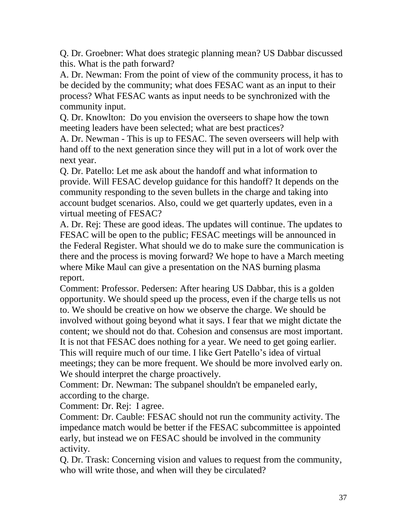Q. Dr. Groebner: What does strategic planning mean? US Dabbar discussed this. What is the path forward?

A. Dr. Newman: From the point of view of the community process, it has to be decided by the community; what does FESAC want as an input to their process? What FESAC wants as input needs to be synchronized with the community input.

Q. Dr. Knowlton: Do you envision the overseers to shape how the town meeting leaders have been selected; what are best practices?

A. Dr. Newman - This is up to FESAC. The seven overseers will help with hand off to the next generation since they will put in a lot of work over the next year.

Q. Dr. Patello: Let me ask about the handoff and what information to provide. Will FESAC develop guidance for this handoff? It depends on the community responding to the seven bullets in the charge and taking into account budget scenarios. Also, could we get quarterly updates, even in a virtual meeting of FESAC?

A. Dr. Rej: These are good ideas. The updates will continue. The updates to FESAC will be open to the public; FESAC meetings will be announced in the Federal Register. What should we do to make sure the communication is there and the process is moving forward? We hope to have a March meeting where Mike Maul can give a presentation on the NAS burning plasma report.

Comment: Professor. Pedersen: After hearing US Dabbar, this is a golden opportunity. We should speed up the process, even if the charge tells us not to. We should be creative on how we observe the charge. We should be involved without going beyond what it says. I fear that we might dictate the content; we should not do that. Cohesion and consensus are most important. It is not that FESAC does nothing for a year. We need to get going earlier. This will require much of our time. I like Gert Patello's idea of virtual meetings; they can be more frequent. We should be more involved early on. We should interpret the charge proactively.

Comment: Dr. Newman: The subpanel shouldn't be empaneled early, according to the charge.

Comment: Dr. Rej: I agree.

Comment: Dr. Cauble: FESAC should not run the community activity. The impedance match would be better if the FESAC subcommittee is appointed early, but instead we on FESAC should be involved in the community activity.

Q. Dr. Trask: Concerning vision and values to request from the community, who will write those, and when will they be circulated?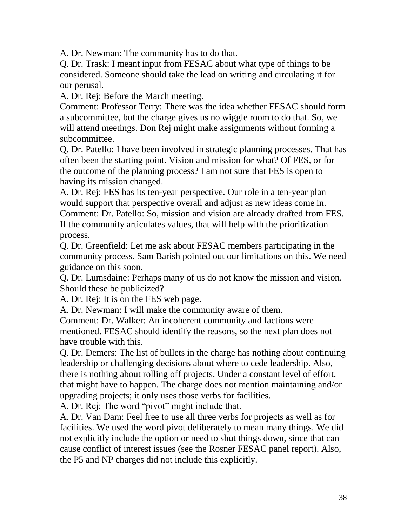A. Dr. Newman: The community has to do that.

Q. Dr. Trask: I meant input from FESAC about what type of things to be considered. Someone should take the lead on writing and circulating it for our perusal.

A. Dr. Rej: Before the March meeting.

Comment: Professor Terry: There was the idea whether FESAC should form a subcommittee, but the charge gives us no wiggle room to do that. So, we will attend meetings. Don Rej might make assignments without forming a subcommittee.

Q. Dr. Patello: I have been involved in strategic planning processes. That has often been the starting point. Vision and mission for what? Of FES, or for the outcome of the planning process? I am not sure that FES is open to having its mission changed.

A. Dr. Rej: FES has its ten-year perspective. Our role in a ten-year plan would support that perspective overall and adjust as new ideas come in. Comment: Dr. Patello: So, mission and vision are already drafted from FES. If the community articulates values, that will help with the prioritization process.

Q. Dr. Greenfield: Let me ask about FESAC members participating in the community process. Sam Barish pointed out our limitations on this. We need guidance on this soon.

Q. Dr. Lumsdaine: Perhaps many of us do not know the mission and vision. Should these be publicized?

A. Dr. Rej: It is on the FES web page.

A. Dr. Newman: I will make the community aware of them.

Comment: Dr. Walker: An incoherent community and factions were mentioned. FESAC should identify the reasons, so the next plan does not have trouble with this.

Q. Dr. Demers: The list of bullets in the charge has nothing about continuing leadership or challenging decisions about where to cede leadership. Also, there is nothing about rolling off projects. Under a constant level of effort, that might have to happen. The charge does not mention maintaining and/or upgrading projects; it only uses those verbs for facilities.

A. Dr. Rej: The word "pivot" might include that.

A. Dr. Van Dam: Feel free to use all three verbs for projects as well as for facilities. We used the word pivot deliberately to mean many things. We did not explicitly include the option or need to shut things down, since that can cause conflict of interest issues (see the Rosner FESAC panel report). Also, the P5 and NP charges did not include this explicitly.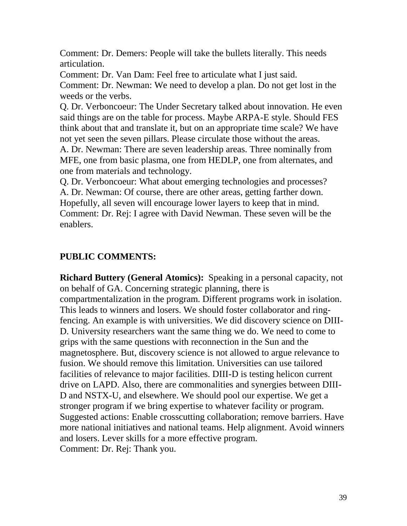Comment: Dr. Demers: People will take the bullets literally. This needs articulation.

Comment: Dr. Van Dam: Feel free to articulate what I just said. Comment: Dr. Newman: We need to develop a plan. Do not get lost in the weeds or the verbs.

Q. Dr. Verboncoeur: The Under Secretary talked about innovation. He even said things are on the table for process. Maybe ARPA-E style. Should FES think about that and translate it, but on an appropriate time scale? We have not yet seen the seven pillars. Please circulate those without the areas.

A. Dr. Newman: There are seven leadership areas. Three nominally from MFE, one from basic plasma, one from HEDLP, one from alternates, and one from materials and technology.

Q. Dr. Verboncoeur: What about emerging technologies and processes? A. Dr. Newman: Of course, there are other areas, getting farther down. Hopefully, all seven will encourage lower layers to keep that in mind. Comment: Dr. Rej: I agree with David Newman. These seven will be the enablers.

# **PUBLIC COMMENTS:**

**Richard Buttery (General Atomics):** Speaking in a personal capacity, not on behalf of GA. Concerning strategic planning, there is compartmentalization in the program. Different programs work in isolation. This leads to winners and losers. We should foster collaborator and ringfencing. An example is with universities. We did discovery science on DIII-D. University researchers want the same thing we do. We need to come to grips with the same questions with reconnection in the Sun and the magnetosphere. But, discovery science is not allowed to argue relevance to fusion. We should remove this limitation. Universities can use tailored facilities of relevance to major facilities. DIII-D is testing helicon current drive on LAPD. Also, there are commonalities and synergies between DIII-D and NSTX-U, and elsewhere. We should pool our expertise. We get a stronger program if we bring expertise to whatever facility or program. Suggested actions: Enable crosscutting collaboration; remove barriers. Have more national initiatives and national teams. Help alignment. Avoid winners and losers. Lever skills for a more effective program. Comment: Dr. Rej: Thank you.